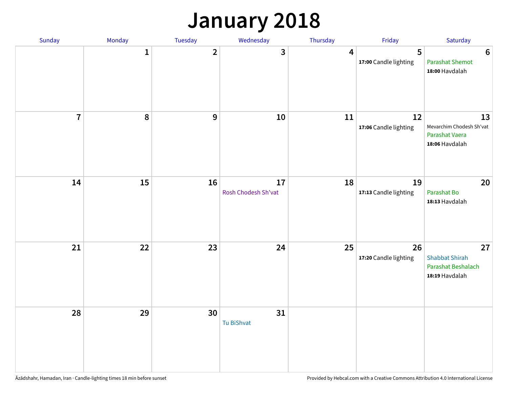#### **January 2018**

| Sunday         | Monday       | Tuesday        | Wednesday                 | Thursday         | Friday                      | Saturday                                                            |
|----------------|--------------|----------------|---------------------------|------------------|-----------------------------|---------------------------------------------------------------------|
|                | $\mathbf{1}$ | $\overline{2}$ | 3                         | $\boldsymbol{4}$ | 5<br>17:00 Candle lighting  | $\boldsymbol{6}$<br><b>Parashat Shemot</b><br>18:00 Havdalah        |
| $\overline{7}$ | 8            | 9              | 10                        | 11               | 12<br>17:06 Candle lighting | 13<br>Mevarchim Chodesh Sh'vat<br>Parashat Vaera<br>18:06 Havdalah  |
| 14             | 15           | 16             | 17<br>Rosh Chodesh Sh'vat | 18               | 19<br>17:13 Candle lighting | 20<br>Parashat Bo<br>18:13 Havdalah                                 |
| 21             | 22           | 23             | 24                        | 25               | 26<br>17:20 Candle lighting | 27<br><b>Shabbat Shirah</b><br>Parashat Beshalach<br>18:19 Havdalah |
| 28             | 29           | 30             | 31<br>Tu BiShvat          |                  |                             |                                                                     |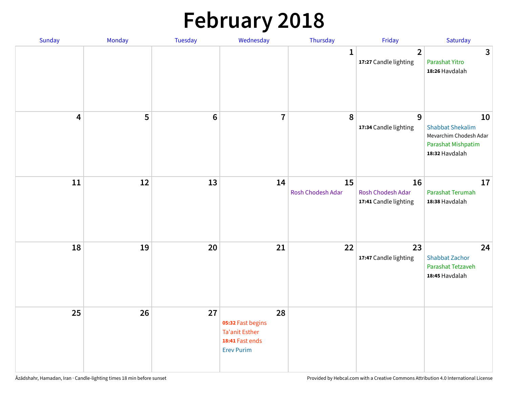# **February 2018**

| Sunday | Monday | Tuesday         | Wednesday                                                                                | Thursday                | Friday                                           | Saturday                                                                                        |
|--------|--------|-----------------|------------------------------------------------------------------------------------------|-------------------------|--------------------------------------------------|-------------------------------------------------------------------------------------------------|
|        |        |                 |                                                                                          | $\mathbf{1}$            | $\overline{2}$<br>17:27 Candle lighting          | $\mathbf{3}$<br>Parashat Yitro<br>18:26 Havdalah                                                |
| 4      | 5      | $6\phantom{1}6$ | $\overline{7}$                                                                           | 8                       | $\overline{9}$<br>17:34 Candle lighting          | 10<br><b>Shabbat Shekalim</b><br>Mevarchim Chodesh Adar<br>Parashat Mishpatim<br>18:32 Havdalah |
| 11     | 12     | 13              | 14                                                                                       | 15<br>Rosh Chodesh Adar | 16<br>Rosh Chodesh Adar<br>17:41 Candle lighting | 17<br>Parashat Terumah<br>18:38 Havdalah                                                        |
| 18     | 19     | 20              | 21                                                                                       | 22                      | 23<br>17:47 Candle lighting                      | 24<br><b>Shabbat Zachor</b><br>Parashat Tetzaveh<br>18:45 Havdalah                              |
| 25     | 26     | 27              | 28<br>05:32 Fast begins<br><b>Ta'anit Esther</b><br>18:41 Fast ends<br><b>Erev Purim</b> |                         |                                                  |                                                                                                 |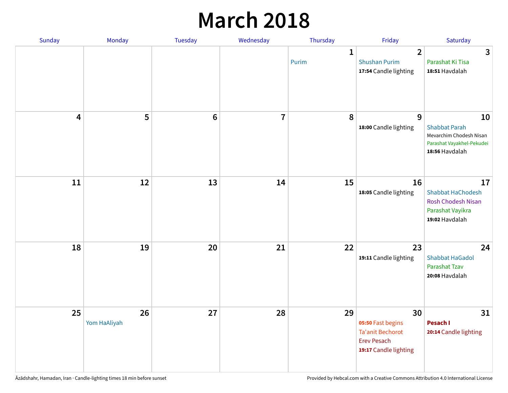### **March 2018**

| Sunday | Monday                       | <b>Tuesday</b> | Wednesday      | Thursday              | Friday                                                                                            | Saturday                                                                                             |
|--------|------------------------------|----------------|----------------|-----------------------|---------------------------------------------------------------------------------------------------|------------------------------------------------------------------------------------------------------|
|        |                              |                |                | $\mathbf{1}$<br>Purim | $\overline{2}$<br><b>Shushan Purim</b><br>17:54 Candle lighting                                   | 3<br>Parashat Ki Tisa<br>18:51 Havdalah                                                              |
|        | 5<br>$\overline{\mathbf{4}}$ | $\bf 6$        | $\overline{7}$ | 8                     | 9<br>18:00 Candle lighting                                                                        | 10<br><b>Shabbat Parah</b><br>Mevarchim Chodesh Nisan<br>Parashat Vayakhel-Pekudei<br>18:56 Havdalah |
|        | 11<br>12                     | 13             | 14             | 15                    | 16<br>18:05 Candle lighting                                                                       | 17<br><b>Shabbat HaChodesh</b><br><b>Rosh Chodesh Nisan</b><br>Parashat Vayikra<br>19:02 Havdalah    |
|        | 18<br>19                     | 20             | 21             | 22                    | 23<br>19:11 Candle lighting                                                                       | 24<br><b>Shabbat HaGadol</b><br>Parashat Tzav<br>20:08 Havdalah                                      |
|        | 25<br>26<br>Yom HaAliyah     | 27             | 28             | 29                    | 30<br>05:50 Fast begins<br><b>Ta'anit Bechorot</b><br><b>Erev Pesach</b><br>19:17 Candle lighting | 31<br>Pesach I<br>20:14 Candle lighting                                                              |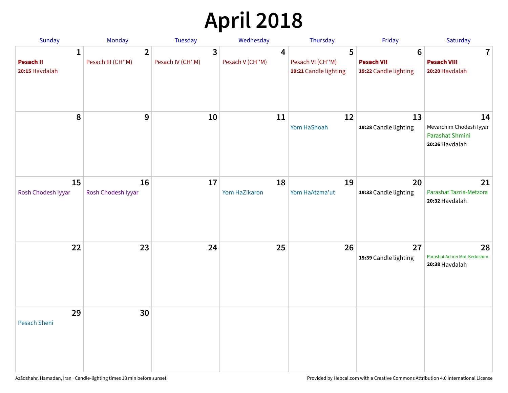# **April 2018**

| <b>Sunday</b>                           | Monday                              | <b>Tuesday</b>                              | Wednesday                           | Thursday                                       | Friday                                                        | Saturday                                                           |
|-----------------------------------------|-------------------------------------|---------------------------------------------|-------------------------------------|------------------------------------------------|---------------------------------------------------------------|--------------------------------------------------------------------|
| 1<br><b>Pesach II</b><br>20:15 Havdalah | $\overline{2}$<br>Pesach III (CH"M) | $\overline{\mathbf{3}}$<br>Pesach IV (CH"M) | $\boldsymbol{4}$<br>Pesach V (CH"M) | 5<br>Pesach VI (CH"M)<br>19:21 Candle lighting | $6\phantom{1}6$<br><b>Pesach VII</b><br>19:22 Candle lighting | $\mathbf 7$<br><b>Pesach VIII</b><br>20:20 Havdalah                |
| 8                                       | $9\,$                               | 10                                          | 11                                  | 12<br>Yom HaShoah                              | 13<br>19:28 Candle lighting                                   | 14<br>Mevarchim Chodesh Iyyar<br>Parashat Shmini<br>20:26 Havdalah |
| 15<br>Rosh Chodesh Iyyar                | 16<br>Rosh Chodesh Iyyar            | 17                                          | 18<br>Yom HaZikaron                 | 19<br>Yom HaAtzma'ut                           | 20<br>19:33 Candle lighting                                   | 21<br>Parashat Tazria-Metzora<br>20:32 Havdalah                    |
| 22                                      | 23                                  | 24                                          | 25                                  | 26                                             | 27<br>19:39 Candle lighting                                   | 28<br>Parashat Achrei Mot-Kedoshim<br>20:38 Havdalah               |
| 29<br><b>Pesach Sheni</b>               | 30                                  |                                             |                                     |                                                |                                                               |                                                                    |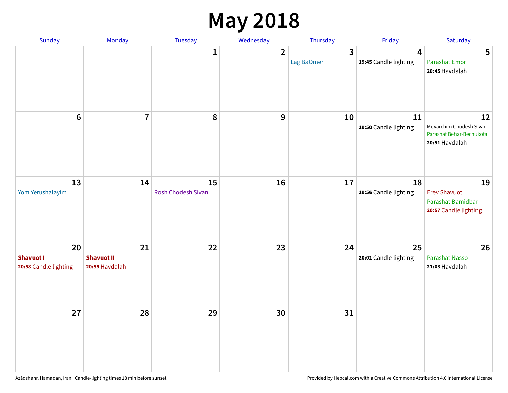### **May 2018**

| Sunday                                          | Monday                                    | Tuesday                  | Wednesday      | Thursday        | Friday                      | Saturday                                                                     |
|-------------------------------------------------|-------------------------------------------|--------------------------|----------------|-----------------|-----------------------------|------------------------------------------------------------------------------|
|                                                 |                                           | $\mathbf{1}$             | $\overline{2}$ | 3<br>Lag BaOmer | 4<br>19:45 Candle lighting  | 5<br><b>Parashat Emor</b><br>20:45 Havdalah                                  |
| $6\phantom{a}$                                  | $\overline{7}$                            | $\pmb{8}$                | 9              | 10              | 11<br>19:50 Candle lighting | 12<br>Mevarchim Chodesh Sivan<br>Parashat Behar-Bechukotai<br>20:51 Havdalah |
| 13<br>Yom Yerushalayim                          | 14                                        | 15<br>Rosh Chodesh Sivan | 16             | 17              | 18<br>19:56 Candle lighting | 19<br><b>Erev Shavuot</b><br>Parashat Bamidbar<br>20:57 Candle lighting      |
| 20<br><b>Shavuot I</b><br>20:58 Candle lighting | 21<br><b>Shavuot II</b><br>20:59 Havdalah | 22                       | 23             | 24              | 25<br>20:01 Candle lighting | 26<br><b>Parashat Nasso</b><br>21:03 Havdalah                                |
| 27                                              | 28                                        | 29                       | 30             | 31              |                             |                                                                              |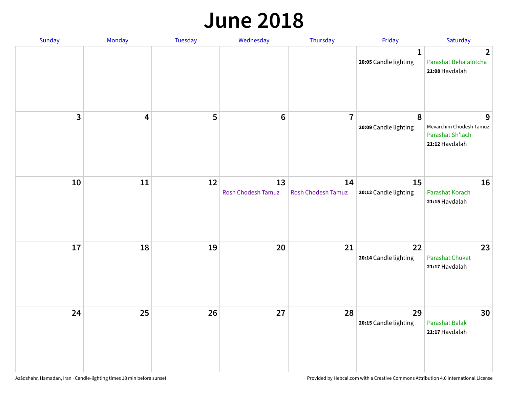#### **June 2018**

| Sunday                  | Monday | Tuesday | Wednesday                | Thursday                        | Friday                                | Saturday                                                           |
|-------------------------|--------|---------|--------------------------|---------------------------------|---------------------------------------|--------------------------------------------------------------------|
|                         |        |         |                          |                                 | $\mathbf{1}$<br>20:05 Candle lighting | $\overline{2}$<br>Parashat Beha'alotcha<br>21:08 Havdalah          |
| $\overline{\mathbf{3}}$ | 4      | 5       | $\bf 6$                  | $\overline{7}$                  | 8<br>20:09 Candle lighting            | 9<br>Mevarchim Chodesh Tamuz<br>Parashat Sh'lach<br>21:12 Havdalah |
| 10                      | $11\,$ | 12      | 13<br>Rosh Chodesh Tamuz | 14<br><b>Rosh Chodesh Tamuz</b> | 15<br>20:12 Candle lighting           | 16<br>Parashat Korach<br>21:15 Havdalah                            |
| 17                      | 18     | 19      | 20                       | 21                              | 22<br>20:14 Candle lighting           | 23<br><b>Parashat Chukat</b><br>21:17 Havdalah                     |
| 24                      | 25     | 26      | 27                       | 28                              | 29<br>20:15 Candle lighting           | 30<br>Parashat Balak<br>21:17 Havdalah                             |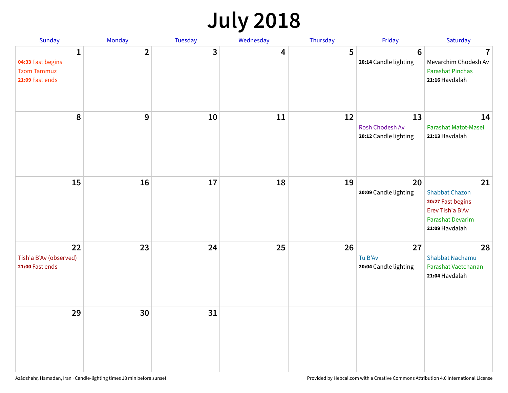# **July 2018**

| Sunday                                                          | Monday         | Tuesday      | Wednesday | Thursday | Friday                                         | Saturday                                                                                                   |
|-----------------------------------------------------------------|----------------|--------------|-----------|----------|------------------------------------------------|------------------------------------------------------------------------------------------------------------|
| 1<br>04:33 Fast begins<br><b>Tzom Tammuz</b><br>21:09 Fast ends | $\overline{2}$ | $\mathbf{3}$ | 4         | 5        | $6\phantom{1}6$<br>20:14 Candle lighting       | $\overline{7}$<br>Mevarchim Chodesh Av<br><b>Parashat Pinchas</b><br>21:16 Havdalah                        |
| 8                                                               | 9              | 10           | 11        | 12       | 13<br>Rosh Chodesh Av<br>20:12 Candle lighting | 14<br>Parashat Matot-Masei<br>21:13 Havdalah                                                               |
| 15                                                              | 16             | 17           | 18        | 19       | 20<br>20:09 Candle lighting                    | 21<br><b>Shabbat Chazon</b><br>20:27 Fast begins<br>Erev Tish'a B'Av<br>Parashat Devarim<br>21:09 Havdalah |
| 22<br>Tish'a B'Av (observed)<br>21:00 Fast ends                 | 23             | 24           | 25        | 26       | 27<br>Tu B'Av<br>20:04 Candle lighting         | 28<br><b>Shabbat Nachamu</b><br>Parashat Vaetchanan<br>21:04 Havdalah                                      |
| 29                                                              | 30             | 31           |           |          |                                                |                                                                                                            |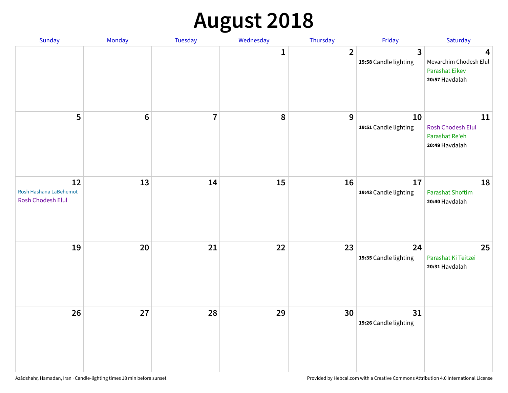# **August 2018**

| Sunday                                            | Monday          | Tuesday        | Wednesday | Thursday       | Friday                                | Saturday                                                               |
|---------------------------------------------------|-----------------|----------------|-----------|----------------|---------------------------------------|------------------------------------------------------------------------|
|                                                   |                 |                | 1         | $\overline{2}$ | $\mathbf{3}$<br>19:58 Candle lighting | 4<br>Mevarchim Chodesh Elul<br><b>Parashat Eikev</b><br>20:57 Havdalah |
| 5                                                 | $6\phantom{1}6$ | $\overline{7}$ | $\pmb{8}$ | $\mathbf{9}$   | 10<br>19:51 Candle lighting           | $11\,$<br><b>Rosh Chodesh Elul</b><br>Parashat Re'eh<br>20:49 Havdalah |
| 12<br>Rosh Hashana LaBehemot<br>Rosh Chodesh Elul | 13              | 14             | 15        | 16             | 17<br>19:43 Candle lighting           | 18<br><b>Parashat Shoftim</b><br>20:40 Havdalah                        |
| 19                                                | 20              | 21             | 22        | 23             | 24<br>19:35 Candle lighting           | 25<br>Parashat Ki Teitzei<br>20:31 Havdalah                            |
| 26                                                | 27              | 28             | 29        | 30             | 31<br>19:26 Candle lighting           |                                                                        |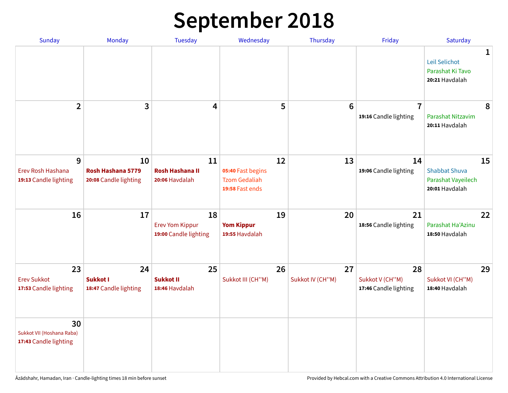# **September 2018**

| Sunday                                                   | Monday                                           | <b>Tuesday</b>                                        | Wednesday                                                          | Thursday               | Friday                                         | Saturday                                                           |
|----------------------------------------------------------|--------------------------------------------------|-------------------------------------------------------|--------------------------------------------------------------------|------------------------|------------------------------------------------|--------------------------------------------------------------------|
|                                                          |                                                  |                                                       |                                                                    |                        |                                                | 1<br>Leil Selichot<br>Parashat Ki Tavo<br>20:21 Havdalah           |
| $\overline{2}$                                           | 3                                                | $\overline{\mathbf{4}}$                               | 5                                                                  | $6\phantom{1}6$        | $\overline{7}$<br>19:16 Candle lighting        | 8<br>Parashat Nitzavim<br>20:11 Havdalah                           |
| 9<br>Erev Rosh Hashana<br>19:13 Candle lighting          | 10<br>Rosh Hashana 5779<br>20:08 Candle lighting | 11<br><b>Rosh Hashana II</b><br>20:06 Havdalah        | 12<br>05:40 Fast begins<br><b>Tzom Gedaliah</b><br>19:58 Fast ends | 13                     | 14<br>19:06 Candle lighting                    | 15<br><b>Shabbat Shuva</b><br>Parashat Vayeilech<br>20:01 Havdalah |
| 16                                                       | 17                                               | 18<br><b>Erev Yom Kippur</b><br>19:00 Candle lighting | 19<br><b>Yom Kippur</b><br>19:55 Havdalah                          | 20                     | 21<br>18:56 Candle lighting                    | 22<br>Parashat Ha'Azinu<br>18:50 Havdalah                          |
| 23<br><b>Erev Sukkot</b><br>17:53 Candle lighting        | 24<br><b>Sukkot I</b><br>18:47 Candle lighting   | 25<br><b>Sukkot II</b><br>18:46 Havdalah              | 26<br>Sukkot III (CH"M)                                            | 27<br>Sukkot IV (CH"M) | 28<br>Sukkot V (CH"M)<br>17:46 Candle lighting | 29<br>Sukkot VI (CH"M)<br>18:40 Havdalah                           |
| 30<br>Sukkot VII (Hoshana Raba)<br>17:43 Candle lighting |                                                  |                                                       |                                                                    |                        |                                                |                                                                    |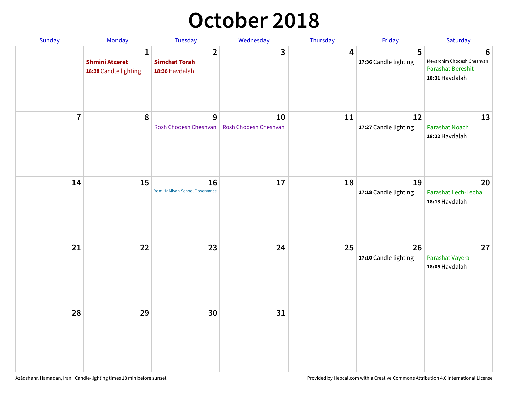### **October 2018**

| Sunday                  | Monday                                                         | <b>Tuesday</b>                                           | Wednesday                   | Thursday | Friday                      | Saturday                                                                      |
|-------------------------|----------------------------------------------------------------|----------------------------------------------------------|-----------------------------|----------|-----------------------------|-------------------------------------------------------------------------------|
|                         | $\mathbf{1}$<br><b>Shmini Atzeret</b><br>18:38 Candle lighting | $\overline{2}$<br><b>Simchat Torah</b><br>18:36 Havdalah | 3                           | 4        | 5<br>17:36 Candle lighting  | 6<br>Mevarchim Chodesh Cheshvan<br><b>Parashat Bereshit</b><br>18:31 Havdalah |
| $\overline{\mathbf{7}}$ | 8                                                              | 9<br>Rosh Chodesh Cheshvan                               | 10<br>Rosh Chodesh Cheshvan | 11       | 12<br>17:27 Candle lighting | 13<br><b>Parashat Noach</b><br>18:22 Havdalah                                 |
| 14                      | 15                                                             | 16<br>Yom HaAliyah School Observance                     | 17                          | 18       | 19<br>17:18 Candle lighting | 20<br>Parashat Lech-Lecha<br>18:13 Havdalah                                   |
| 21                      | 22                                                             | 23                                                       | 24                          | 25       | 26<br>17:10 Candle lighting | 27<br>Parashat Vayera<br>18:05 Havdalah                                       |
| 28                      | 29                                                             | 30                                                       | 31                          |          |                             |                                                                               |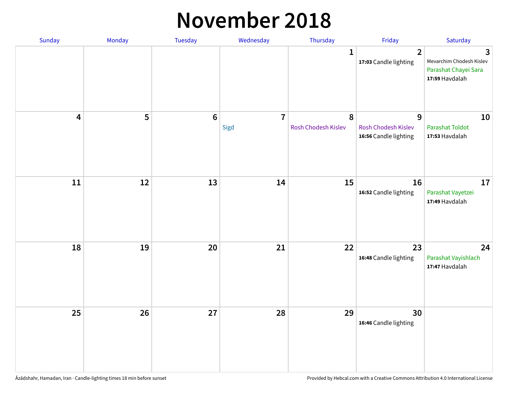#### **November 2018**

| Sunday                  | Monday | Tuesday         | Wednesday              | Thursday                 | Friday                                                   | Saturday                                                                |
|-------------------------|--------|-----------------|------------------------|--------------------------|----------------------------------------------------------|-------------------------------------------------------------------------|
|                         |        |                 |                        | $\mathbf{1}$             | $\overline{2}$<br>17:03 Candle lighting                  | 3<br>Mevarchim Chodesh Kislev<br>Parashat Chayei Sara<br>17:59 Havdalah |
| $\overline{\mathbf{4}}$ | 5      | $6\phantom{1}6$ | $\overline{7}$<br>Sigd | 8<br>Rosh Chodesh Kislev | 9<br><b>Rosh Chodesh Kislev</b><br>16:56 Candle lighting | 10<br><b>Parashat Toldot</b><br>17:53 Havdalah                          |
| ${\bf 11}$              | 12     | 13              | 14                     | 15                       | 16<br>16:52 Candle lighting                              | 17<br>Parashat Vayetzei<br>17:49 Havdalah                               |
| 18                      | 19     | 20              | 21                     | 22                       | 23<br>16:48 Candle lighting                              | 24<br>Parashat Vayishlach<br>17:47 Havdalah                             |
| 25                      | 26     | 27              | 28                     | 29                       | 30<br>16:46 Candle lighting                              |                                                                         |